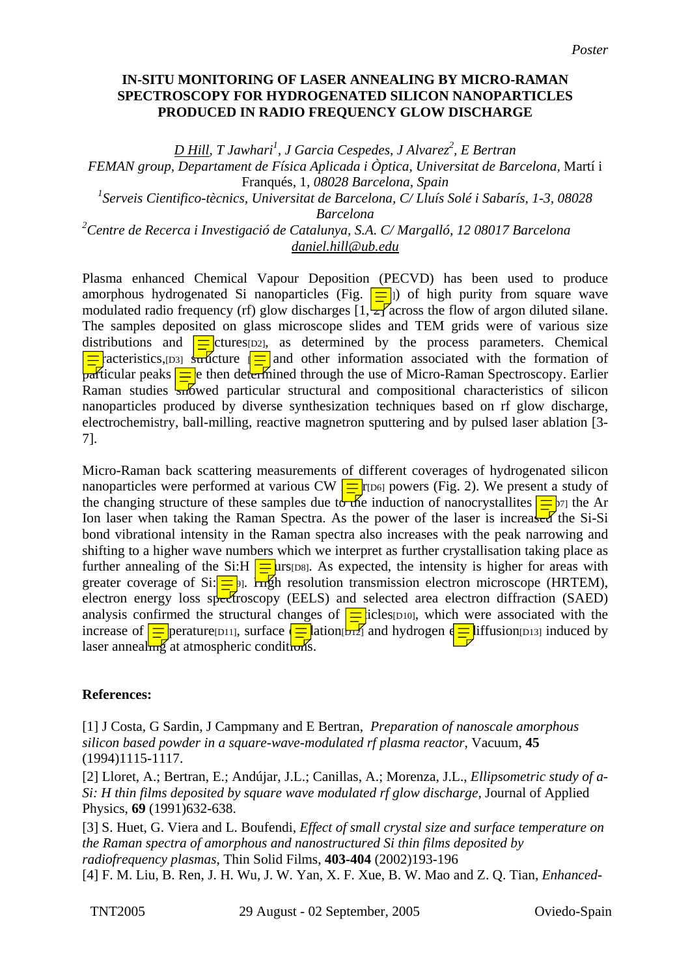## **IN-SITU MONITORING OF LASER ANNEALING BY MICRO-RAMAN SPECTROSCOPY FOR HYDROGENATED SILICON NANOPARTICLES PRODUCED IN RADIO FREQUENCY GLOW DISCHARGE**

*D Hill, T Jawhari<sup>1</sup> , J Garcia Cespedes, J Alvarez2 , E Bertran* 

*FEMAN group, Departament de Física Aplicada i Òptica, Universitat de Barcelona,* Martí i Franqués, 1*, 08028 Barcelona, Spain* 

*1 Serveis Cientifico-tècnics, Universitat de Barcelona, C/ Lluís Solé i Sabarís, 1-3, 08028* 

*Barcelona* 

*2 Centre de Recerca i Investigació de Catalunya, S.A. C/ Margalló, 12 08017 Barcelona daniel.hill@ub.edu*

Plasma enhanced Chemical Vapour Deposition (PECVD) has been used to produce amorphous hydrogenated Si nanoparticles (Fig.  $\boxed{\equiv}$ ) of high purity from square wave modulated radio frequency (rf) glow discharges  $[1, \frac{1}{2}]$  across the flow of argon diluted silane. The samples deposited on glass microscope slides and TEM grids were of various size distributions and  $\equiv$  ctures [D2], as determined by the process parameters. Chemical  $\frac{1}{\sqrt{2}}$  acteristics,  $\frac{1}{\sqrt{2}}$  structure  $\frac{1}{\sqrt{2}}$  and other information associated with the formation of  $\frac{1}{\sqrt{2\pi}}$  particular peaks  $\frac{1}{\sqrt{2\pi}}$  then determined through the use of Micro-Raman Spectroscopy. Earlier Raman studies  $\frac{1}{2}$  Raman studies  $\frac{1}{2}$  and compositional characteristics of silicon nanoparticles produced by diverse synthesization techniques based on rf glow discharge, electrochemistry, ball-milling, reactive magnetron sputtering and by pulsed laser ablation [3- 7].

Micro-Raman back scattering measurements of different coverages of hydrogenated silicon nanoparticles were performed at various CW  $\frac{1}{\sqrt{2}}$  r<sub>[D6]</sub> powers (Fig. 2). We present a study of the changing structure of these samples due to the induction of nanocrystallites  $\frac{1}{\sqrt{D}}$  the Ar Ion laser when taking the Raman Spectra. As the power of the laser is increased the Si-Si bond vibrational intensity in the Raman spectra also increases with the peak narrowing and shifting to a higher wave numbers which we interpret as further crystallisation taking place as further annealing of the Si:H  $\equiv$ urs[D8]. As expected, the intensity is higher for areas with greater coverage of Si: $\frac{1}{\sqrt{2}}$ . High resolution transmission electron microscope (HRTEM), electron energy loss spectroscopy (EELS) and selected area electron diffraction (SAED) analysis confirmed the structural changes of  $\equiv$  icles<sub>[D10]</sub>, which were associated with the increase of  $\equiv$  perature<sup>[D11]</sup>, surface  $\leftarrow \equiv$  ation<sub>[D12]</sub> and hydrogen  $\leftarrow \equiv$  liffusion<sub>[D13]</sub> induced by laser anneal $\frac{1}{\ln 2}$  at atmospheric conditions.

## **References:**

[1] J Costa, G Sardin, J Campmany and E Bertran, *Preparation of nanoscale amorphous silicon based powder in a square-wave-modulated rf plasma reactor*, Vacuum, **45**  (1994)1115-1117.

[2] Lloret, A.; Bertran, E.; Andújar, J.L.; Canillas, A.; Morenza, J.L., *Ellipsometric study of a-Si: H thin films deposited by square wave modulated rf glow discharge,* Journal of Applied Physics, **69** (1991)632-638.

[3] S. Huet, G. Viera and L. Boufendi, *Effect of small crystal size and surface temperature on the Raman spectra of amorphous and nanostructured Si thin films deposited by radiofrequency plasmas*, Thin Solid Films, **403-404** (2002)193-196 [4] F. M. Liu, B. Ren, J. H. Wu, J. W. Yan, X. F. Xue, B. W. Mao and Z. Q. Tian, *Enhanced-*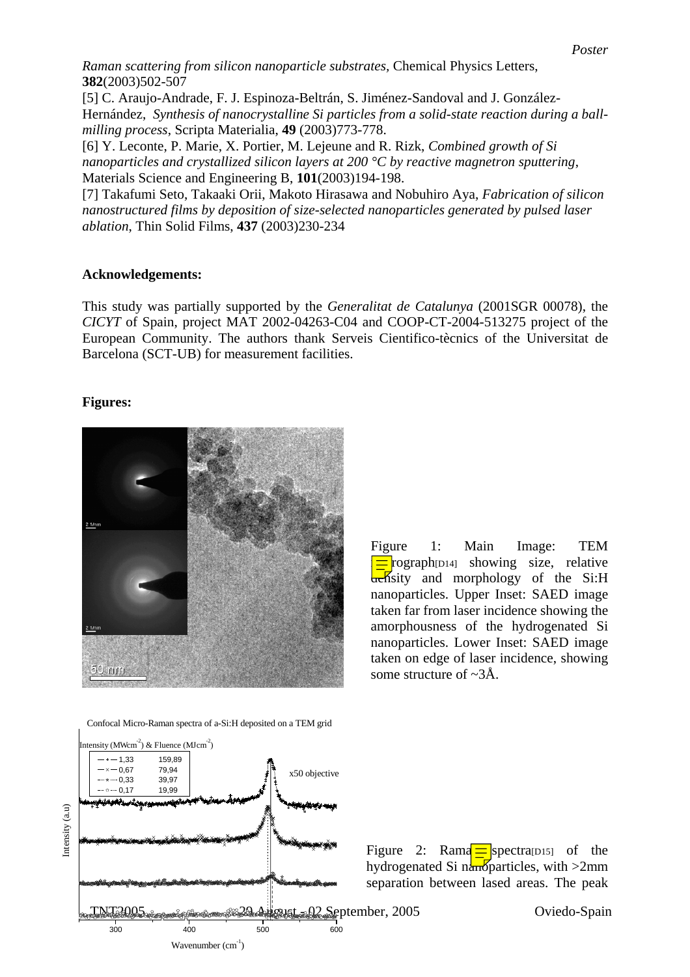*Raman scattering from silicon nanoparticle substrates,* Chemical Physics Letters, **382**(2003)502-507

[5] C. Araujo-Andrade, F. J. Espinoza-Beltrán, S. Jiménez-Sandoval and J. González-Hernández, *Synthesis of nanocrystalline Si particles from a solid-state reaction during a ballmilling process*, Scripta Materialia, **49** (2003)773-778.

[6] Y. Leconte, P. Marie, X. Portier, M. Lejeune and R. Rizk, *Combined growth of Si nanoparticles and crystallized silicon layers at 200 °C by reactive magnetron sputtering*, Materials Science and Engineering B, **101**(2003)194-198.

[7] Takafumi Seto, Takaaki Orii, Makoto Hirasawa and Nobuhiro Aya, *Fabrication of silicon nanostructured films by deposition of size-selected nanoparticles generated by pulsed laser ablation*, Thin Solid Films, **437** (2003)230-234

## **Acknowledgements:**

This study was partially supported by the *Generalitat de Catalunya* (2001SGR 00078), the *CICYT* of Spain, project MAT 2002-04263-C04 and COOP-CT-2004-513275 project of the European Community. The authors thank Serveis Cientifico-tècnics of the Universitat de Barcelona (SCT-UB) for measurement facilities.

## **Figures:**



Confocal Micro-Raman spectra of a-Si:H deposited on a TEM grid



Figure 1: Main Image: TEM  $\equiv$  rograph<sub>[D14]</sub> showing size, relative  $\frac{d}{dt}$ sity and morphology of the Si:H nanoparticles. Upper Inset: SAED image taken far from laser incidence showing the amorphousness of the hydrogenated Si nanoparticles. Lower Inset: SAED image taken on edge of laser incidence, showing some structure of  $\sim 3\text{\AA}$ .



Oviedo-Spain